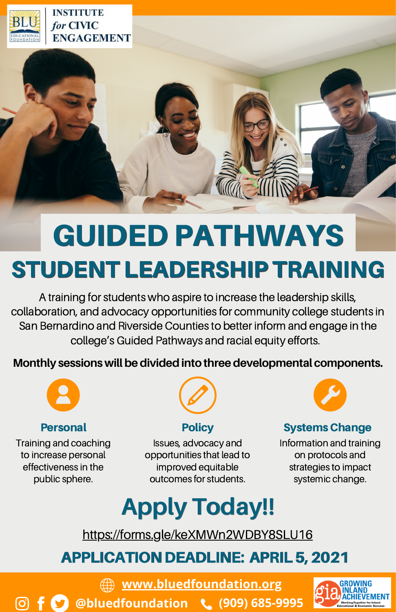

# GUIDED PATHWAYS STUDENT LEADERSHIP TRAINING

A training for students who aspire to increase the leadership skills, collaboration, and advocacy opportunities for community college students in San Bernardino and Riverside Counties to better inform and engage in the college's Guided Pathways and racial equity efforts.

**Monthly sessions will be divided into three developmental components.** 



Training and coaching to increase personal effectiveness in the public sphere.

ര്രി



Issues, advocacy and opportunities that lead to improved equitable outcomes for students.

**Personal Policy Policy Resonal Policy Resonal Policy** 

Information and training on protocols and strategies to impact systemic change.

# **Apply [Today!!](https://docs.google.com/forms/d/e/1FAIpQLScxFNKHte75NmLV_7_3YfWokNOVKwPaHzKgYcbrs_1Nl_92fw/viewform?usp=sf_link)**

[https://forms.gle/keXMWn2WDBY8SLU16](https://docs.google.com/forms/d/e/1FAIpQLScxFNKHte75NmLV_7_3YfWokNOVKwPaHzKgYcbrs_1Nl_92fw/viewform?usp=sf_link)

# **APPLICATION DEADLINE: APRIL 5, 2021**

**[www.bluedfoundation.org](https://www.bluedfoundation.org/)**

**@bluedfoundation (909) 685-9995**